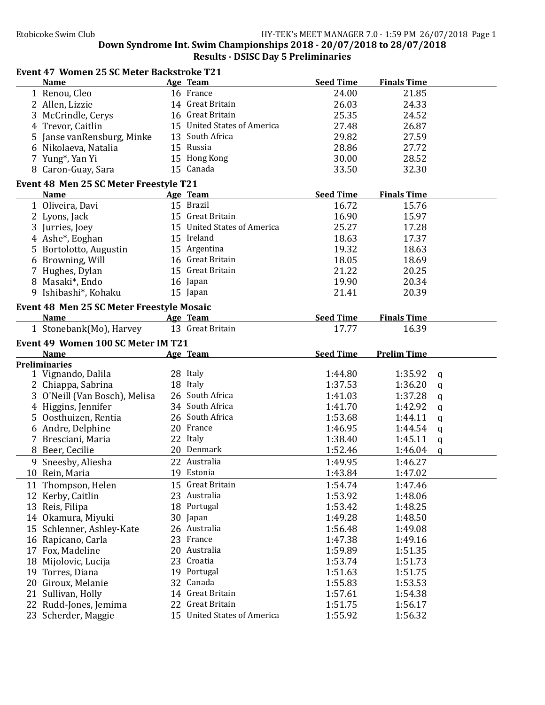## Down Syndrome Int. Swim Championships 2018 - 20/07/2018 to 28/07/2018 Results - DSISC Day 5 Preliminaries

|    | <b>Event 47 Women 25 SC Meter Backstroke T21</b>      |                                                 |                    |                    |              |
|----|-------------------------------------------------------|-------------------------------------------------|--------------------|--------------------|--------------|
|    | <b>Name</b>                                           | Age Team                                        | <b>Seed Time</b>   | <b>Finals Time</b> |              |
|    | 1 Renou, Cleo                                         | 16 France                                       | 24.00              | 21.85              |              |
|    | 2 Allen, Lizzie                                       | 14 Great Britain                                | 26.03              | 24.33              |              |
|    | 3 McCrindle, Cerys                                    | 16 Great Britain                                | 25.35              | 24.52              |              |
|    | 4 Trevor, Caitlin                                     | 15 United States of America                     | 27.48              | 26.87              |              |
|    | 5 Janse vanRensburg, Minke                            | 13 South Africa                                 | 29.82              | 27.59              |              |
|    | 6 Nikolaeva, Natalia                                  | 15 Russia                                       | 28.86              | 27.72              |              |
|    | 7 Yung*, Yan Yi                                       | 15 Hong Kong                                    | 30.00              | 28.52              |              |
|    | 8 Caron-Guay, Sara                                    | 15 Canada                                       | 33.50              | 32.30              |              |
|    |                                                       |                                                 |                    |                    |              |
|    | Event 48 Men 25 SC Meter Freestyle T21<br><b>Name</b> | Age Team                                        | <b>Seed Time</b>   | <b>Finals Time</b> |              |
|    |                                                       | 15 Brazil                                       | 16.72              | 15.76              |              |
|    | 1 Oliveira, Davi                                      |                                                 |                    |                    |              |
|    | 2 Lyons, Jack                                         | 15 Great Britain                                | 16.90              | 15.97              |              |
|    | 3 Jurries, Joey                                       | 15 United States of America                     | 25.27              | 17.28              |              |
|    | 4 Ashe*, Eoghan                                       | 15 Ireland                                      | 18.63              | 17.37              |              |
|    | 5 Bortolotto, Augustin                                | 15 Argentina                                    | 19.32              | 18.63              |              |
|    | 6 Browning, Will                                      | 16 Great Britain                                | 18.05              | 18.69              |              |
|    | 7 Hughes, Dylan                                       | 15 Great Britain                                | 21.22              | 20.25              |              |
|    | 8 Masaki*, Endo                                       | 16 Japan                                        | 19.90              | 20.34              |              |
|    | 9 Ishibashi*, Kohaku                                  | 15 Japan                                        | 21.41              | 20.39              |              |
|    | <b>Event 48 Men 25 SC Meter Freestyle Mosaic</b>      |                                                 |                    |                    |              |
|    | <b>Name</b>                                           | Age Team                                        | <b>Seed Time</b>   | <b>Finals Time</b> |              |
|    | 1 Stonebank(Mo), Harvey                               | 13 Great Britain                                | 17.77              | 16.39              |              |
|    |                                                       |                                                 |                    |                    |              |
|    | Event 49 Women 100 SC Meter IM T21                    |                                                 |                    |                    |              |
|    |                                                       |                                                 |                    |                    |              |
|    | <b>Name</b>                                           | Age Team                                        | <b>Seed Time</b>   | <b>Prelim Time</b> |              |
|    | <b>Preliminaries</b>                                  |                                                 |                    |                    |              |
|    | 1 Vignando, Dalila                                    | 28 Italy                                        | 1:44.80            | 1:35.92            | q            |
|    | 2 Chiappa, Sabrina                                    | 18 Italy                                        | 1:37.53            | 1:36.20            | $\mathbf q$  |
|    | 3 O'Neill (Van Bosch), Melisa                         | 26 South Africa                                 | 1:41.03            | 1:37.28            | $\mathbf q$  |
|    | 4 Higgins, Jennifer                                   | 34 South Africa                                 | 1:41.70            | 1:42.92            | $\mathbf q$  |
|    | 5 Oosthuizen, Rentia                                  | 26 South Africa                                 | 1:53.68            | 1:44.11            | $\mathsf{q}$ |
|    | 6 Andre, Delphine                                     | 20 France                                       | 1:46.95            | 1:44.54            | q            |
|    | 7 Bresciani, Maria                                    | 22 Italy                                        | 1:38.40            | 1:45.11            | q            |
|    | 8 Beer, Cecilie                                       | 20 Denmark                                      | 1:52.46            | 1:46.04            | $\mathbf q$  |
|    | 9 Sneesby, Aliesha                                    | 22 Australia                                    | 1:49.95            | 1:46.27            |              |
|    | 10 Rein, Maria                                        | 19 Estonia                                      | 1:43.84            | 1:47.02            |              |
| 11 | Thompson, Helen                                       | 15 Great Britain                                | 1:54.74            | 1:47.46            |              |
|    |                                                       | 23 Australia                                    | 1:53.92            | 1:48.06            |              |
|    | 12 Kerby, Caitlin                                     | 18 Portugal                                     | 1:53.42            | 1:48.25            |              |
|    | 13 Reis, Filipa                                       |                                                 |                    |                    |              |
|    | 14 Okamura, Miyuki                                    | 30 Japan                                        | 1:49.28            | 1:48.50            |              |
| 15 | Schlenner, Ashley-Kate                                | 26 Australia<br>23 France                       | 1:56.48            | 1:49.08            |              |
| 16 | Rapicano, Carla                                       |                                                 | 1:47.38            | 1:49.16            |              |
| 17 | Fox, Madeline                                         | 20 Australia                                    | 1:59.89            | 1:51.35            |              |
|    | 18 Mijolovic, Lucija                                  | 23 Croatia                                      | 1:53.74            | 1:51.73            |              |
|    | 19 Torres, Diana                                      | 19 Portugal                                     | 1:51.63            | 1:51.75            |              |
| 20 | Giroux, Melanie                                       | 32 Canada                                       | 1:55.83            | 1:53.53            |              |
| 21 | Sullivan, Holly                                       | 14 Great Britain                                | 1:57.61            | 1:54.38            |              |
|    | 22 Rudd-Jones, Jemima<br>23 Scherder, Maggie          | 22 Great Britain<br>15 United States of America | 1:51.75<br>1:55.92 | 1:56.17<br>1:56.32 |              |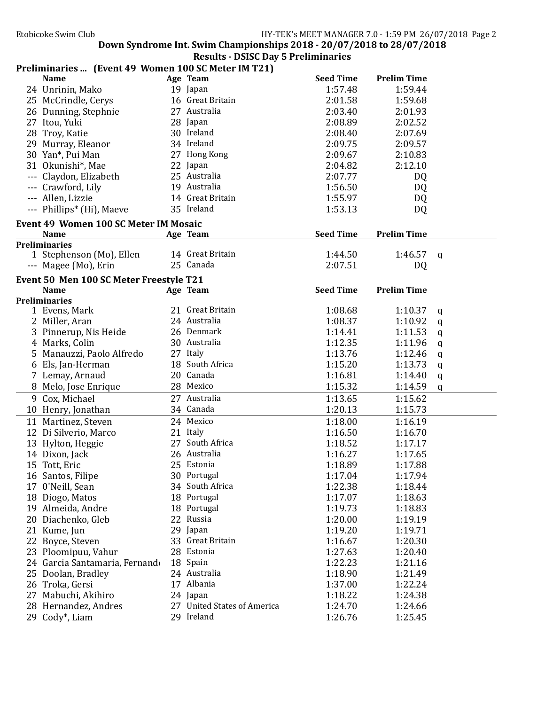Down Syndrome Int. Swim Championships 2018 - 20/07/2018 to 28/07/2018 Results - DSISC Day 5 Preliminaries

#### Preliminaries ... (Event 49 Women 100 SC Meter IM T21)<br>Name Age Team Seed Time Prelim Time 24 Unrinin, Mako 19 Japan 1:57.48 1:59.44 25 McCrindle, Cerys 16 Great Britain 2:01.58 1:59.68 26 Dunning, Stephnie 27 Australia 12:03.40 2:01.93 27 Itou, Yuki 28 Japan 2:08.89 2:02.52 28 Troy, Katie 30 Ireland 2:08.40 2:07.69 29 Murray, Eleanor 34 Ireland 2:09.75 2:09.57 30 Yan\*, Pui Man 27 Hong Kong 2:09.67 2:10.83 31 Okunishi\*, Mae 22 Japan 2:04.82 2:12.10 --- Claydon, Elizabeth 25 Australia 2:07.77 DQ --- Crawford, Lily 19 Australia 1:56.50 DQ --- Allen, Lizzie 14 Great Britain 1:55.97 DQ --- Phillips\* (Hi), Maeve 35 Ireland 1:53.13 DQ Event 49 Women 100 SC Meter IM Mosaic<br>Name Age Tear Age Team Seed Time Prelim Time Preliminaries 1 Stephenson (Mo), Ellen 14 Great Britain 1:44.50 1:46.57 q<br>
2.07.51 1:46.57 pm --- Magee (Mo), Erin 25 Canada 2:07.51 DQ Event 50 Men 100 SC Meter Freestyle T21 Name Age Team Seed Time Prelim Time Preliminaries 1 Evens, Mark 21 Great Britain 1:08.68 1:10.37 q 2 Miller, Aran 24 Australia 1:08.37 1:10.92 q 3 Pinnerup, Nis Heide 26 Denmark 1:14.41 1:11.53 q 4 Marks, Colin 30 Australia 1:12.35 1:11.96 q 5 Manauzzi, Paolo Alfredo 27 Italy 1:13.76 1:12.46 q 6 Els, Jan-Herman 18 South Africa 1:15.20 1:13.73 q 7 Lemay, Arnaud 20 Canada 1:16.81 1:14.40 q 8 Melo, Jose Enrique 28 Mexico 1:15.32 1:14.59 q 9 Cox. Michael **27 Australia** 1:13.65 1:15.62 10 Henry, Jonathan **34 Canada** 1:20.13 1:15.73 11 Martinez, Steven 24 Mexico 1:18.00 1:16.19 12 Di Silverio, Marco 21 Italy 1:16.50 1:16.70 13 Hylton, Heggie 27 South Africa 1:18.52 1:17.17 14 Dixon, Jack 26 Australia 1:16.27 1:17.65 15 Tott, Eric 25 Estonia 1:18.89 1:17.88 16 Santos, Filipe 30 Portugal 1:17.04 1:17.94 17 0'Neill, Sean 34 South Africa 1:22.38 1:18.44 18 Diogo, Matos 18 Portugal 1:17.07 1:18.63 19 Almeida, Andre 18 Portugal 1:19.73 1:18.83 20 Diachenko, Gleb 22 Russia 1:20.00 1:19.19 21 Kume, Jun 29 Japan 1:19.20 1:19.71 22 Boyce, Steven 33 Great Britain 1:16.67 1:20.30 23 Ploomipuu, Vahur 28 Estonia 1:27.63 1:20.40 24 Garcia Santamaria, Fernando 18 Spain 1:22.23 1:21.16<br>25 Doolan. Bradlev 24 Australia 1:18.90 1:21.49 25 Doolan, Bradley 24 Australia 1:18.90 1:21.49 26 Troka, Gersi 17 Albania 1:37.00 1:22.24 27 Mabuchi, Akihiro 24 Japan 1:18.22 1:24.38 28 Hernandez, Andres 27 United States of America 1:24.70 1:24.66<br>29 Codv\* Liam 29 Ireland 1:26.76 1:25.45 29 Cody\*, Liam 29 Ireland 1:26.76 1:25.45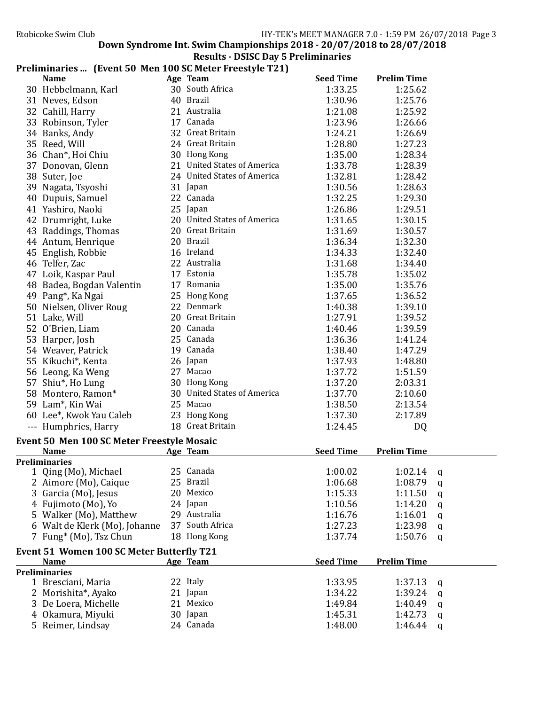Down Syndrome Int. Swim Championships  $2018 - 20/07/2018$  to  $28/07/2018$ 

# Results - DSISC Day 5 Preliminaries

# Preliminaries ... (Event 50 Men 100 SC Meter Freestyle T21)

| <b>Name</b>                                |    | Age Team                    | <b>Seed Time</b> | <b>Prelim Time</b> |             |
|--------------------------------------------|----|-----------------------------|------------------|--------------------|-------------|
| 30 Hebbelmann, Karl                        |    | 30 South Africa             | 1:33.25          | 1:25.62            |             |
| 31 Neves, Edson                            |    | 40 Brazil                   | 1:30.96          | 1:25.76            |             |
| 32 Cahill, Harry                           |    | 21 Australia                | 1:21.08          | 1:25.92            |             |
| 33 Robinson, Tyler                         |    | 17 Canada                   | 1:23.96          | 1:26.66            |             |
| 34 Banks, Andy                             |    | 32 Great Britain            | 1:24.21          | 1:26.69            |             |
| 35 Reed, Will                              |    | 24 Great Britain            | 1:28.80          | 1:27.23            |             |
| 36 Chan*, Hoi Chiu                         |    | 30 Hong Kong                | 1:35.00          | 1:28.34            |             |
| 37 Donovan, Glenn                          |    | 21 United States of America | 1:33.78          | 1:28.39            |             |
| 38 Suter, Joe                              |    | 24 United States of America | 1:32.81          | 1:28.42            |             |
| 39 Nagata, Tsyoshi                         |    | 31 Japan                    | 1:30.56          | 1:28.63            |             |
| 40 Dupuis, Samuel                          |    | 22 Canada                   | 1:32.25          | 1:29.30            |             |
| 41 Yashiro, Naoki                          |    | 25 Japan                    | 1:26.86          | 1:29.51            |             |
| 42 Drumright, Luke                         |    | 20 United States of America | 1:31.65          | 1:30.15            |             |
| 43 Raddings, Thomas                        |    | 20 Great Britain            | 1:31.69          | 1:30.57            |             |
| 44 Antum, Henrique                         |    | 20 Brazil                   | 1:36.34          | 1:32.30            |             |
| 45 English, Robbie                         |    | 16 Ireland                  | 1:34.33          | 1:32.40            |             |
| 46 Telfer, Zac                             |    | 22 Australia                | 1:31.68          | 1:34.40            |             |
| 47 Loik, Kaspar Paul                       |    | 17 Estonia                  | 1:35.78          | 1:35.02            |             |
| 48 Badea, Bogdan Valentin                  |    | 17 Romania                  | 1:35.00          | 1:35.76            |             |
| 49 Pang*, Ka Ngai                          |    | 25 Hong Kong                | 1:37.65          | 1:36.52            |             |
| 50 Nielsen, Oliver Roug                    |    | 22 Denmark                  | 1:40.38          | 1:39.10            |             |
| 51 Lake, Will                              |    | 20 Great Britain            | 1:27.91          | 1:39.52            |             |
| 52 O'Brien, Liam                           |    | 20 Canada                   | 1:40.46          | 1:39.59            |             |
|                                            |    | 25 Canada                   | 1:36.36          |                    |             |
| 53 Harper, Josh                            |    | 19 Canada                   | 1:38.40          | 1:41.24<br>1:47.29 |             |
| 54 Weaver, Patrick                         |    |                             |                  |                    |             |
| 55 Kikuchi*, Kenta                         |    | 26 Japan                    | 1:37.93          | 1:48.80            |             |
| 56 Leong, Ka Weng                          |    | 27 Macao                    | 1:37.72          | 1:51.59            |             |
| 57 Shiu*, Ho Lung                          |    | 30 Hong Kong                | 1:37.20          | 2:03.31            |             |
| 58 Montero, Ramon*                         |    | 30 United States of America | 1:37.70          | 2:10.60            |             |
| 59 Lam*, Kin Wai                           |    | 25 Macao                    | 1:38.50          | 2:13.54            |             |
| 60 Lee*, Kwok Yau Caleb                    |    | 23 Hong Kong                | 1:37.30          | 2:17.89            |             |
| --- Humphries, Harry                       |    | 18 Great Britain            | 1:24.45          | DQ                 |             |
| Event 50 Men 100 SC Meter Freestyle Mosaic |    |                             |                  |                    |             |
| <b>Name</b>                                |    | Age Team                    | <b>Seed Time</b> | <b>Prelim Time</b> |             |
| <b>Preliminaries</b>                       |    |                             |                  |                    |             |
| 1 Qing (Mo), Michael                       |    | 25 Canada                   | 1:00.02          | 1:02.14            | q           |
| 2 Aimore (Mo), Caique                      |    | 25 Brazil                   | 1:06.68          | 1:08.79            | q           |
| 3 Garcia (Mo), Jesus                       |    | 20 Mexico                   | 1:15.33          | 1:11.50            | q           |
| 4 Fujimoto (Mo), Yo                        |    | 24 Japan                    | 1:10.56          | 1:14.20            | $\mathbf q$ |
| 5 Walker (Mo), Matthew                     |    | 29 Australia                | 1:16.76          | 1:16.01            | q           |
| 6 Walt de Klerk (Mo), Johanne              | 37 | South Africa                | 1:27.23          | 1:23.98            | q           |
| 7 Fung* (Mo), Tsz Chun                     |    | 18 Hong Kong                | 1:37.74          | 1:50.76            | q           |
| Event 51 Women 100 SC Meter Butterfly T21  |    |                             |                  |                    |             |
| <b>Name</b>                                |    | Age Team                    | <b>Seed Time</b> | <b>Prelim Time</b> |             |
| <b>Preliminaries</b>                       |    |                             |                  |                    |             |
| 1 Bresciani, Maria                         |    | 22 Italy                    | 1:33.95          | 1:37.13            | q           |
| 2 Morishita*, Ayako                        |    | 21 Japan                    | 1:34.22          | 1:39.24            | q           |
| 3 De Loera, Michelle                       |    | 21 Mexico                   | 1:49.84          | 1:40.49            | q           |
| 4 Okamura, Miyuki                          |    | 30 Japan                    | 1:45.31          | 1:42.73            | q           |
| 5 Reimer, Lindsay                          |    | 24 Canada                   | 1:48.00          | 1:46.44            | q           |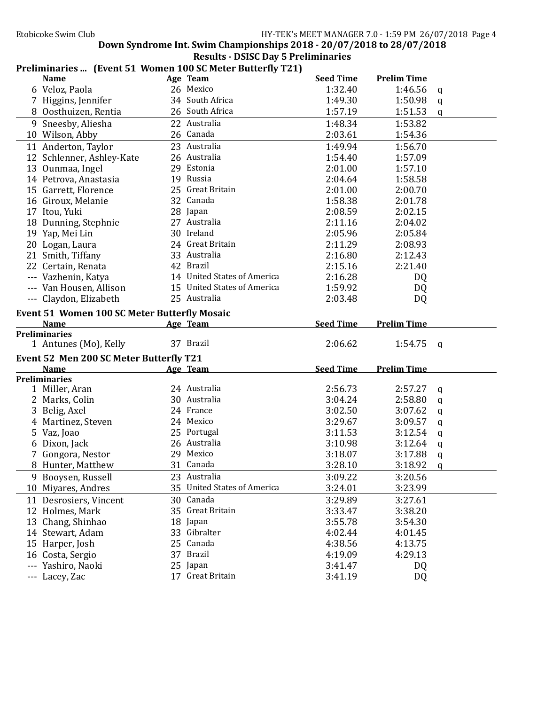#### Etobicoke Swim Club **Etobicoke** Swim Club **HY-TEK's** MEET MANAGER 7.0 - 1:59 PM 26/07/2018 Page 4

Down Syndrome Int. Swim Championships  $2018 - 20/07/2018$  to  $28/07/2018$ 

|             |                                             | <b>Results - DSISC Day 5 Preliminaries</b> |  |
|-------------|---------------------------------------------|--------------------------------------------|--|
| aliminariac | (Event 51 Women 100 SC Motor Rutterfly T21) |                                            |  |

#### Preliminaries ... (Event 51 Women 100 SC Meter Butterny 121)<br>Name Age Team Name Age Team Seed Time Prelim Time 6 Veloz, Paola 26 Mexico 1:32.40 1:46.56 q 7 Higgins, Jennifer 34 South Africa 1:49.30 1:50.98 q 8 Oosthuizen, Rentia 26 South Africa 1:57.19 1:51.53 q 9 Sneesby, Aliesha 22 Australia 1:48.34 1:53.82 10 Wilson, Abby 26 Canada 2:03.61 1:54.36 11 Anderton, Taylor 23 Australia 1:49.94 1:56.70 12 Schlenner, Ashley-Kate  $\begin{array}{cccc} 26 & \text{Australian} & 26 & \text{Australian} \\ 13 & \text{Ounmaa, Ingel} & 29 & \text{Estonia} \\ 14 & 29 & \text{Bstonia} & 29 & \text{Aurna.} \end{array}$ 13 Ounmaa, Ingel 29 Estonia 20 2:01.00 1:57.10 14 Petrova, Anastasia 19 Russia 2:04.64 1:58.58 15 Garrett, Florence 25 Great Britain 2:01.00 2:00.70 16 Giroux, Melanie 32 Canada 1:58.38 2:01.78 17 Itou, Yuki 28 Japan 2:08.59 2:02.15 18 Dunning, Stephnie **27 Australia** 18 2:11.16 2:04.02 19 Yap, Mei Lin 30 Ireland 2:05.96 2:05.84 20 Logan, Laura 24 Great Britain 2:11.29 2:08.93 21 Smith, Tiffany 2:12.43<br>
22 Certain Renata 12 Brazil 2:15.16 2:21.40 22 Certain, Renata 42 Brazil 2:15.16 2:21.40 --- Vazhenin, Katya 14 United States of America 2:16.28 DQ --- Van Housen, Allison 15 United States of America 1:59.92 DQ --- Claydon, Elizabeth 25 Australia 2:03.48 DQ Event 51 Women 100 SC Meter Butterfly Mosaic<br>Name Age Team Name Age Team Seed Time Prelim Time Preliminaries 1 Antunes (Mo), Kelly 37 Brazil 2:06.62 1:54.75 q Event 52 Men 200 SC Meter Butterfly T21 Name Age Team Seed Time Prelim Time Preliminaries 1 Miller, Aran 24 Australia 2:56.73 2:57.27 q 2 Marks, Colin 30 Australia 3:04.24 2:58.80 q 3 Belig, Axel 24 France 3:02.50 3:07.62 q 4 Martinez, Steven 24 Mexico 3:29.67 3:09.57 q 5 Vaz, Joao 25 Portugal 3:11.53 3:12.54 q 6 Dixon, Jack 26 Australia 3:10.98 3:12.64 q 7 Gongora, Nestor 29 Mexico 3:18.07 3:17.88 q 8 Hunter, Matthew 31 Canada 3:28.10 3:18.92 q 9 Booysen, Russell 23 Australia 3:09.22 3:20.56 10 Miyares, Andres 35 United States of America 3:24.01 3:23.99 11 Desrosiers, Vincent 30 Canada 3:29.89 3:27.61<br>12 Holmes. Mark 35 Great Britain 3:33.47 3:38.20 12 Holmes, Mark 35 Great Britain 3:33.47 3:38.20 13 Chang, Shinhao 18 Japan 3:55.78 3:54.30 14 Stewart, Adam 33 Gibralter 4:02.44 4:01.45 15 Harper, Josh 25 Canada 4:38.56 4:13.75 16 Costa, Sergio 37 Brazil 4:19.09 4:29.13 --- Yashiro, Naoki 25 Japan 3:41.47 DQ --- Lacey, Zac 17 Great Britain 3:41.19 DQ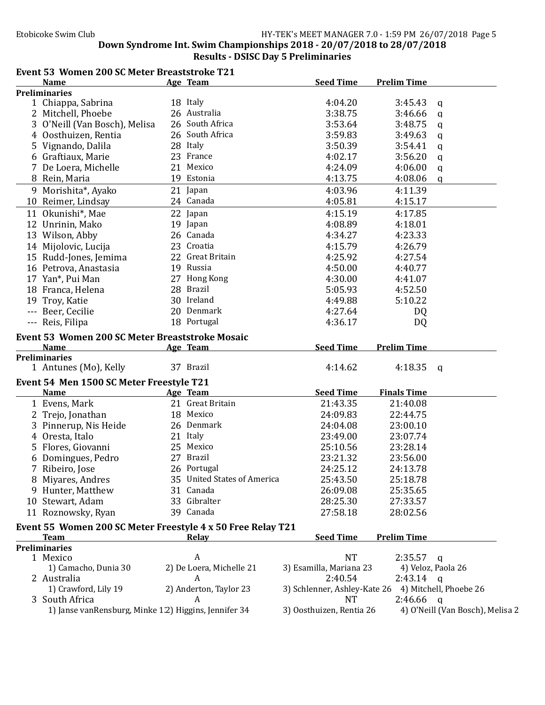#### Etobicoke Swim Club **HY-TEK's** MEET MANAGER 7.0 - 1:59 PM 26/07/2018 Page 5 Down Syndrome Int. Swim Championships 2018 - 20/07/2018 to 28/07/2018

Results - DSISC Day 5 Preliminaries

#### Event 53 Women 200 SC Meter Breaststroke T21

| <b>Name</b>                                                 | Age Team                    | <b>Seed Time</b>         | <b>Prelim Time</b>                                  |                                  |
|-------------------------------------------------------------|-----------------------------|--------------------------|-----------------------------------------------------|----------------------------------|
| <b>Preliminaries</b>                                        |                             |                          |                                                     |                                  |
| 1 Chiappa, Sabrina                                          | 18 Italy                    | 4:04.20                  | 3:45.43                                             | q                                |
| 2 Mitchell, Phoebe                                          | 26 Australia                | 3:38.75                  | 3:46.66                                             | q                                |
| 3 O'Neill (Van Bosch), Melisa                               | 26 South Africa             | 3:53.64                  | 3:48.75                                             | q                                |
| 4 Oosthuizen, Rentia                                        | 26 South Africa             | 3:59.83                  | 3:49.63                                             | q                                |
| 5 Vignando, Dalila                                          | 28 Italy                    | 3:50.39                  | 3:54.41                                             | q                                |
| 6 Graftiaux, Marie                                          | 23 France                   | 4:02.17                  | 3:56.20                                             | q                                |
| 7 De Loera, Michelle                                        | 21 Mexico                   | 4:24.09                  | 4:06.00                                             | q                                |
| 8 Rein, Maria                                               | 19 Estonia                  | 4:13.75                  | 4:08.06                                             | q                                |
| 9 Morishita*, Ayako                                         | 21 Japan                    | 4:03.96                  | 4:11.39                                             |                                  |
| 10 Reimer, Lindsay                                          | 24 Canada                   | 4:05.81                  | 4:15.17                                             |                                  |
| 11 Okunishi*, Mae                                           | 22 Japan                    | 4:15.19                  | 4:17.85                                             |                                  |
| 12 Unrinin, Mako                                            | 19 Japan                    | 4:08.89                  | 4:18.01                                             |                                  |
| 13 Wilson, Abby                                             | 26 Canada                   | 4:34.27                  | 4:23.33                                             |                                  |
| 14 Mijolovic, Lucija                                        | 23 Croatia                  | 4:15.79                  | 4:26.79                                             |                                  |
| 15 Rudd-Jones, Jemima                                       | 22 Great Britain            | 4:25.92                  | 4:27.54                                             |                                  |
| 16 Petrova, Anastasia                                       | 19 Russia                   | 4:50.00                  | 4:40.77                                             |                                  |
| 17 Yan*, Pui Man                                            | 27 Hong Kong                | 4:30.00                  | 4:41.07                                             |                                  |
| 18 Franca, Helena                                           | 28 Brazil                   | 5:05.93                  | 4:52.50                                             |                                  |
| 19 Troy, Katie                                              | 30 Ireland                  | 4:49.88                  | 5:10.22                                             |                                  |
| --- Beer, Cecilie                                           | 20 Denmark                  | 4:27.64                  | DQ                                                  |                                  |
| --- Reis, Filipa                                            | 18 Portugal                 | 4:36.17                  | DQ                                                  |                                  |
| Event 53 Women 200 SC Meter Breaststroke Mosaic             |                             |                          |                                                     |                                  |
| <b>Name</b>                                                 | Age Team                    | <b>Seed Time</b>         | <b>Prelim Time</b>                                  |                                  |
| <b>Preliminaries</b>                                        |                             |                          |                                                     |                                  |
| 1 Antunes (Mo), Kelly                                       | 37 Brazil                   | 4:14.62                  | 4:18.35                                             | $\mathbf{q}$                     |
| Event 54 Men 1500 SC Meter Freestyle T21                    |                             |                          |                                                     |                                  |
| <b>Name</b>                                                 | Age Team                    | <b>Seed Time</b>         | <b>Finals Time</b>                                  |                                  |
| 1 Evens, Mark                                               | 21 Great Britain            | 21:43.35                 | 21:40.08                                            |                                  |
| 2 Trejo, Jonathan                                           | 18 Mexico                   | 24:09.83                 | 22:44.75                                            |                                  |
| 3 Pinnerup, Nis Heide                                       | 26 Denmark                  | 24:04.08                 | 23:00.10                                            |                                  |
| 4 Oresta, Italo                                             | 21 Italy                    | 23:49.00                 | 23:07.74                                            |                                  |
| 5 Flores, Giovanni                                          | 25 Mexico                   | 25:10.56                 | 23:28.14                                            |                                  |
| 6 Domingues, Pedro                                          | 27 Brazil                   | 23:21.32                 | 23:56.00                                            |                                  |
| 7 Ribeiro, Jose                                             | 26 Portugal                 | 24:25.12                 | 24:13.78                                            |                                  |
| 8 Miyares, Andres                                           | 35 United States of America | 25:43.50                 | 25:18.78                                            |                                  |
| 9 Hunter, Matthew                                           | 31 Canada                   | 26:09.08                 | 25:35.65                                            |                                  |
| 10 Stewart, Adam                                            | 33 Gibralter                | 28:25.30                 | 27:33.57                                            |                                  |
| 11 Roznowsky, Ryan                                          | 39 Canada                   | 27:58.18                 | 28:02.56                                            |                                  |
|                                                             |                             |                          |                                                     |                                  |
| Event 55 Women 200 SC Meter Freestyle 4 x 50 Free Relay T21 |                             |                          |                                                     |                                  |
| <b>Team</b>                                                 | <u>Relay</u>                | <b>Seed Time</b>         | <b>Prelim Time</b>                                  |                                  |
| <b>Preliminaries</b><br>1 Mexico                            | A                           | <b>NT</b>                | 2:35.57                                             | q                                |
| 1) Camacho, Dunia 30                                        | 2) De Loera, Michelle 21    | 3) Esamilla, Mariana 23  |                                                     | 4) Veloz, Paola 26               |
| 2 Australia                                                 | A                           | 2:40.54                  | $2:43.14$ q                                         |                                  |
| 1) Crawford, Lily 19                                        | 2) Anderton, Taylor 23      |                          | 3) Schlenner, Ashley-Kate 26 4) Mitchell, Phoebe 26 |                                  |
| 3 South Africa                                              | A                           | <b>NT</b>                | $2:46.66$ q                                         |                                  |
| 1) Janse vanRensburg, Minke 1.2) Higgins, Jennifer 34       |                             | 3) Oosthuizen, Rentia 26 |                                                     | 4) O'Neill (Van Bosch), Melisa 2 |
|                                                             |                             |                          |                                                     |                                  |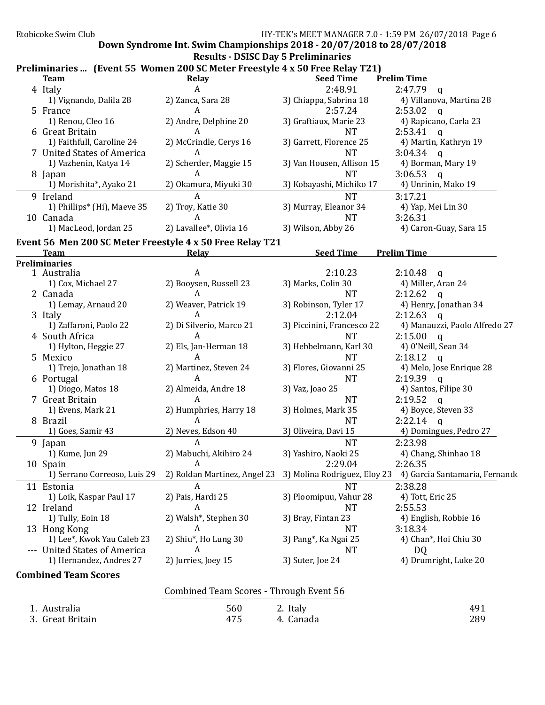## Down Syndrome Int. Swim Championships 2018 - 20/07/2018 to 28/07/2018

# Results - DSISC Day 5 Preliminaries

|  | Preliminaries  (Event 55 Women 200 SC Meter Freestyle 4 x 50 Free Relay T21) |  |
|--|------------------------------------------------------------------------------|--|
|--|------------------------------------------------------------------------------|--|

| I Femminaties  (EVENT JJ WOMEN ZOO JU METEL FIEESTYJE TA JO FIEE KEIAY TZT)<br><b>Team</b> | Relay                                   | <b>Seed Time</b>           | <b>Prelim Time</b>                                                                       |
|--------------------------------------------------------------------------------------------|-----------------------------------------|----------------------------|------------------------------------------------------------------------------------------|
| 4 Italy                                                                                    | A                                       | 2:48.91                    | $2:47.79$ q                                                                              |
| 1) Vignando, Dalila 28                                                                     | 2) Zanca, Sara 28                       | 3) Chiappa, Sabrina 18     | 4) Villanova, Martina 28                                                                 |
| 5 France                                                                                   | A                                       | 2:57.24                    | 2:53.02<br>$\mathbf{q}$                                                                  |
| 1) Renou, Cleo 16                                                                          | 2) Andre, Delphine 20                   | 3) Graftiaux, Marie 23     | 4) Rapicano, Carla 23                                                                    |
| 6 Great Britain                                                                            | A                                       | <b>NT</b>                  | 2:53.41<br>$\mathsf{q}$                                                                  |
| 1) Faithfull, Caroline 24                                                                  | 2) McCrindle, Cerys 16                  | 3) Garrett, Florence 25    | 4) Martin, Kathryn 19                                                                    |
| 7 United States of America                                                                 | A                                       | <b>NT</b>                  | $3:04.34$ q                                                                              |
| 1) Vazhenin, Katya 14                                                                      | 2) Scherder, Maggie 15                  | 3) Van Housen, Allison 15  | 4) Borman, Mary 19                                                                       |
| 8 Japan                                                                                    | A                                       | <b>NT</b>                  | 3:06.53<br>$\mathsf{q}$                                                                  |
| 1) Morishita*, Ayako 21                                                                    | 2) Okamura, Miyuki 30                   | 3) Kobayashi, Michiko 17   | 4) Unrinin, Mako 19                                                                      |
| 9 Ireland                                                                                  | A                                       | <b>NT</b>                  | 3:17.21                                                                                  |
| 1) Phillips* (Hi), Maeve 35                                                                | 2) Troy, Katie 30                       | 3) Murray, Eleanor 34      | 4) Yap, Mei Lin 30                                                                       |
|                                                                                            | $\boldsymbol{A}$                        | <b>NT</b>                  |                                                                                          |
| 10 Canada                                                                                  |                                         |                            | 3:26.31                                                                                  |
| 1) MacLeod, Jordan 25                                                                      | 2) Lavallee*, Olivia 16                 | 3) Wilson, Abby 26         | 4) Caron-Guay, Sara 15                                                                   |
| Event 56 Men 200 SC Meter Freestyle 4 x 50 Free Relay T21                                  |                                         |                            |                                                                                          |
| <b>Team</b>                                                                                | Relay                                   | <b>Seed Time</b>           | <b>Prelim Time</b>                                                                       |
| <b>Preliminaries</b>                                                                       |                                         |                            |                                                                                          |
| 1 Australia                                                                                | $\boldsymbol{A}$                        | 2:10.23                    | 2:10.48<br>$\alpha$                                                                      |
| 1) Cox, Michael 27                                                                         | 2) Booysen, Russell 23                  | 3) Marks, Colin 30         | 4) Miller, Aran 24                                                                       |
| 2 Canada                                                                                   | A                                       | <b>NT</b>                  | 2:12.62<br>$\mathbf{q}$                                                                  |
| 1) Lemay, Arnaud 20                                                                        | 2) Weaver, Patrick 19                   | 3) Robinson, Tyler 17      | 4) Henry, Jonathan 34                                                                    |
| 3 Italy                                                                                    | A                                       | 2:12.04                    | 2:12.63<br>$\mathbf{q}$                                                                  |
| 1) Zaffaroni, Paolo 22                                                                     | 2) Di Silverio, Marco 21                | 3) Piccinini, Francesco 22 | 4) Manauzzi, Paolo Alfredo 27                                                            |
| 4 South Africa                                                                             | A                                       | <b>NT</b>                  | 2:15.00<br>$\mathbf q$                                                                   |
| 1) Hylton, Heggie 27                                                                       | 2) Els, Jan-Herman 18                   | 3) Hebbelmann, Karl 30     | 4) 0'Neill, Sean 34                                                                      |
| 5 Mexico                                                                                   | A                                       | <b>NT</b>                  | 2:18.12<br>$\mathbf q$                                                                   |
| 1) Trejo, Jonathan 18                                                                      | 2) Martinez, Steven 24                  | 3) Flores, Giovanni 25     | 4) Melo, Jose Enrique 28                                                                 |
| 6 Portugal                                                                                 | $\boldsymbol{A}$                        | <b>NT</b>                  | 2:19.39<br>$\mathsf{q}$                                                                  |
| 1) Diogo, Matos 18                                                                         | 2) Almeida, Andre 18                    | 3) Vaz, Joao 25            | 4) Santos, Filipe 30                                                                     |
| 7 Great Britain                                                                            | A                                       | <b>NT</b>                  | 2:19.52<br>$\mathbf q$                                                                   |
| 1) Evens, Mark 21                                                                          | 2) Humphries, Harry 18                  | 3) Holmes, Mark 35         | 4) Boyce, Steven 33                                                                      |
| 8 Brazil                                                                                   | A                                       | <b>NT</b>                  | 2:22.14<br>$\mathsf{q}$                                                                  |
| 1) Goes, Samir 43                                                                          | 2) Neves, Edson 40                      | 3) Oliveira, Davi 15       | 4) Domingues, Pedro 27                                                                   |
| 9 Japan                                                                                    | $\boldsymbol{A}$                        | <b>NT</b>                  | 2:23.98                                                                                  |
| 1) Kume, Jun 29                                                                            | 2) Mabuchi, Akihiro 24                  | 3) Yashiro, Naoki 25       | 4) Chang, Shinhao 18                                                                     |
| 10 Spain                                                                                   | $\boldsymbol{A}$                        | 2:29.04                    | 2:26.35                                                                                  |
| 1) Serrano Correoso, Luis 29                                                               |                                         |                            | 2) Roldan Martinez, Angel 23 3) Molina Rodriguez, Eloy 23 4) Garcia Santamaria, Fernando |
| 11 Estonia                                                                                 | A                                       | <b>NT</b>                  | 2:38.28                                                                                  |
| 1) Loik, Kaspar Paul 17                                                                    | 2) Pais, Hardi 25                       | 3) Ploomipuu, Vahur 28     | 4) Tott, Eric 25                                                                         |
| 12 Ireland                                                                                 | A                                       | NT                         | 2:55.53                                                                                  |
| 1) Tully, Eoin 18                                                                          | 2) Walsh*, Stephen 30                   | 3) Bray, Fintan 23         | 4) English, Robbie 16                                                                    |
| 13 Hong Kong                                                                               | A                                       | <b>NT</b>                  | 3:18.34                                                                                  |
| 1) Lee*, Kwok Yau Caleb 23                                                                 | 2) Shiu*, Ho Lung 30                    | 3) Pang*, Ka Ngai 25       | 4) Chan*, Hoi Chiu 30                                                                    |
| --- United States of America                                                               | A                                       | <b>NT</b>                  | DQ                                                                                       |
| 1) Hernandez, Andres 27                                                                    | 2) Jurries, Joey 15                     | 3) Suter, Joe 24           | 4) Drumright, Luke 20                                                                    |
|                                                                                            |                                         |                            |                                                                                          |
| <b>Combined Team Scores</b>                                                                |                                         |                            |                                                                                          |
|                                                                                            | Combined Team Scores - Through Event 56 |                            |                                                                                          |
| 1. Australia                                                                               | 560                                     | 2. Italy                   | 491                                                                                      |
| 3. Great Britain                                                                           | 475                                     | 4. Canada                  | 289                                                                                      |
|                                                                                            |                                         |                            |                                                                                          |